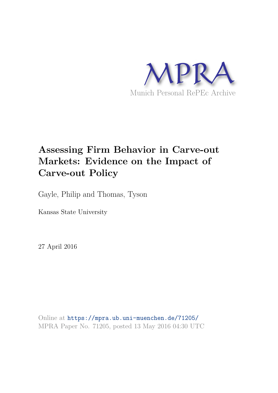

# **Assessing Firm Behavior in Carve-out Markets: Evidence on the Impact of Carve-out Policy**

Gayle, Philip and Thomas, Tyson

Kansas State University

27 April 2016

Online at https://mpra.ub.uni-muenchen.de/71205/ MPRA Paper No. 71205, posted 13 May 2016 04:30 UTC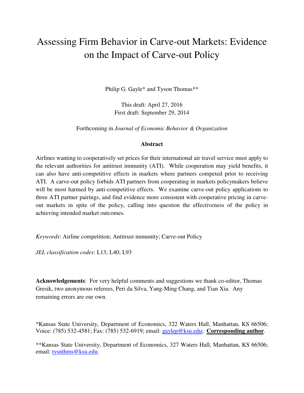# Assessing Firm Behavior in Carve-out Markets: Evidence on the Impact of Carve-out Policy

Philip G. Gayle\* and Tyson Thomas\*\*

This draft: April 27, 2016 First draft: September 29, 2014

Forthcoming in *Journal of Economic Behavior & Organization*

#### **Abstract**

Airlines wanting to cooperatively set prices for their international air travel service must apply to the relevant authorities for antitrust immunity (ATI). While cooperation may yield benefits, it can also have anti-competitive effects in markets where partners competed prior to receiving ATI. A carve-out policy forbids ATI partners from cooperating in markets policymakers believe will be most harmed by anti-competitive effects. We examine carve-out policy applications to three ATI partner pairings, and find evidence more consistent with cooperative pricing in carveout markets in spite of the policy, calling into question the effectiveness of the policy in achieving intended market outcomes.

*Keywords*: Airline competition; Antitrust immunity; Carve-out Policy

*JEL classification codes*: L13; L40; L93

**Acknowledgements**: For very helpful comments and suggestions we thank co-editor, Thomas Gresik, two anonymous referees, Peri da Silva, Yang-Ming Chang, and Tian Xia. Any remaining errors are our own.

\*Kansas State University, Department of Economics, 322 Waters Hall, Manhattan, KS 66506; Voice: (785) 532-4581; Fax: (785) 532-6919; email: gaylep@ksu.edu; **Corresponding author**.

\*\*Kansas State University, Department of Economics, 327 Waters Hall, Manhattan, KS 66506; email: tysnthms@ksu.edu.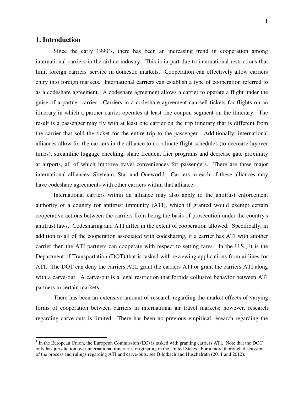# **1. Introduction**

 $\overline{a}$ 

Since the early 1990's, there has been an increasing trend in cooperation among international carriers in the airline industry. This is in part due to international restrictions that limit foreign carriers' service in domestic markets. Cooperation can effectively allow carriers entry into foreign markets. International carriers can establish a type of cooperation referred to as a codeshare agreement. A codeshare agreement allows a carrier to operate a flight under the guise of a partner carrier. Carriers in a codeshare agreement can sell tickets for flights on an itinerary in which a partner carrier operates at least one coupon segment on the itinerary. The result is a passenger may fly with at least one carrier on the trip itinerary that is different from the carrier that sold the ticket for the entire trip to the passenger. Additionally, international alliances allow for the carriers in the alliance to coordinate flight schedules (to decrease layover times), streamline luggage checking, share frequent flier programs and decrease gate proximity at airports, all of which improve travel conveniences for passengers. There are three major international alliances: Skyteam, Star and Oneworld. Carriers in each of these alliances may have codeshare agreements with other carriers within that alliance.

International carriers within an alliance may also apply to the antitrust enforcement authority of a country for antitrust immunity (ATI), which if granted would exempt certain cooperative actions between the carriers from being the basis of prosecution under the country's antitrust laws. Codesharing and ATI differ in the extent of cooperation allowed. Specifically, in addition to all of the cooperation associated with codesharing, if a carrier has ATI with another carrier then the ATI partners can cooperate with respect to setting fares. In the U.S., it is the Department of Transportation (DOT) that is tasked with reviewing applications from airlines for ATI. The DOT can deny the carriers ATI, grant the carriers ATI or grant the carriers ATI along with a carve-out. A carve-out is a legal restriction that forbids collusive behavior between ATI partners in certain markets. $<sup>1</sup>$  $<sup>1</sup>$  $<sup>1</sup>$ </sup>

There has been an extensive amount of research regarding the market effects of varying forms of cooperation between carriers in international air travel markets; however, research regarding carve-outs is limited. There has been no previous empirical research regarding the

<span id="page-2-0"></span><sup>&</sup>lt;sup>1</sup> In the European Union, the European Commission (EC) is tasked with granting carriers ATI. Note that the DOT only has jurisdiction over international itineraries originating in the United States. For a more thorough discussion of the process and rulings regarding ATI and carve-outs, see Bilotkach and Huschelrath (2011 and 2012).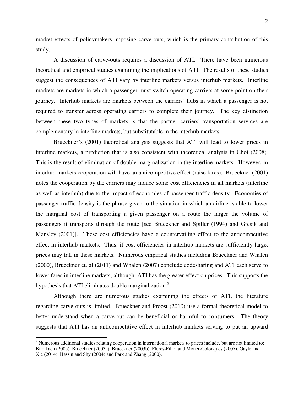market effects of policymakers imposing carve-outs, which is the primary contribution of this study.

A discussion of carve-outs requires a discussion of ATI. There have been numerous theoretical and empirical studies examining the implications of ATI. The results of these studies suggest the consequences of ATI vary by interline markets versus interhub markets. Interline markets are markets in which a passenger must switch operating carriers at some point on their journey. Interhub markets are markets between the carriers' hubs in which a passenger is not required to transfer across operating carriers to complete their journey. The key distinction between these two types of markets is that the partner carriers' transportation services are complementary in interline markets, but substitutable in the interhub markets.

 Brueckner's (2001) theoretical analysis suggests that ATI will lead to lower prices in interline markets, a prediction that is also consistent with theoretical analysis in Choi (2008). This is the result of elimination of double marginalization in the interline markets. However, in interhub markets cooperation will have an anticompetitive effect (raise fares). Brueckner (2001) notes the cooperation by the carriers may induce some cost efficiencies in all markets (interline as well as interhub) due to the impact of economies of passenger-traffic density. Economies of passenger-traffic density is the phrase given to the situation in which an airline is able to lower the marginal cost of transporting a given passenger on a route the larger the volume of passengers it transports through the route [see Brueckner and Spiller (1994) and Gresik and Mansley (2001)]. These cost efficiencies have a countervailing effect to the anticompetitive effect in interhub markets. Thus, if cost efficiencies in interhub markets are sufficiently large, prices may fall in these markets. Numerous empirical studies including Brueckner and Whalen (2000), Brueckner et. al (2011) and Whalen (2007) conclude codesharing and ATI each serve to lower fares in interline markets; although, ATI has the greater effect on prices. This supports the hypothesis that ATI eliminates double marginalization.<sup>[2](#page-3-0)</sup>

Although there are numerous studies examining the effects of ATI, the literature regarding carve-outs is limited. Brueckner and Proost (2010) use a formal theoretical model to better understand when a carve-out can be beneficial or harmful to consumers. The theory suggests that ATI has an anticompetitive effect in interhub markets serving to put an upward

l

<span id="page-3-0"></span><sup>&</sup>lt;sup>2</sup> Numerous additional studies relating cooperation in international markets to prices include, but are not limited to: Bilotkach (2005), Brueckner (2003a), Brueckner (2003b), Flores-Fillol and Moner-Colonques (2007), Gayle and Xie (2014), Hassin and Shy (2004) and Park and Zhang (2000).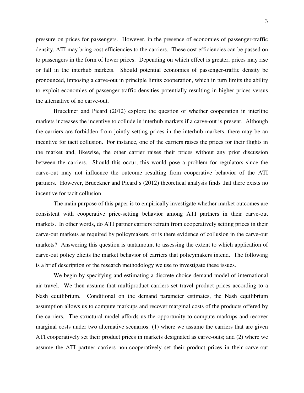pressure on prices for passengers. However, in the presence of economies of passenger-traffic density, ATI may bring cost efficiencies to the carriers. These cost efficiencies can be passed on to passengers in the form of lower prices. Depending on which effect is greater, prices may rise or fall in the interhub markets. Should potential economies of passenger-traffic density be pronounced, imposing a carve-out in principle limits cooperation, which in turn limits the ability to exploit economies of passenger-traffic densities potentially resulting in higher prices versus the alternative of no carve-out.

Brueckner and Picard (2012) explore the question of whether cooperation in interline markets increases the incentive to collude in interhub markets if a carve-out is present. Although the carriers are forbidden from jointly setting prices in the interhub markets, there may be an incentive for tacit collusion. For instance, one of the carriers raises the prices for their flights in the market and, likewise, the other carrier raises their prices without any prior discussion between the carriers. Should this occur, this would pose a problem for regulators since the carve-out may not influence the outcome resulting from cooperative behavior of the ATI partners. However, Brueckner and Picard's (2012) theoretical analysis finds that there exists no incentive for tacit collusion.

The main purpose of this paper is to empirically investigate whether market outcomes are consistent with cooperative price-setting behavior among ATI partners in their carve-out markets. In other words, do ATI partner carriers refrain from cooperatively setting prices in their carve-out markets as required by policymakers, or is there evidence of collusion in the carve-out markets? Answering this question is tantamount to assessing the extent to which application of carve-out policy elicits the market behavior of carriers that policymakers intend. The following is a brief description of the research methodology we use to investigate these issues.

We begin by specifying and estimating a discrete choice demand model of international air travel. We then assume that multiproduct carriers set travel product prices according to a Nash equilibrium. Conditional on the demand parameter estimates, the Nash equilibrium assumption allows us to compute markups and recover marginal costs of the products offered by the carriers. The structural model affords us the opportunity to compute markups and recover marginal costs under two alternative scenarios: (1) where we assume the carriers that are given ATI cooperatively set their product prices in markets designated as carve-outs; and (2) where we assume the ATI partner carriers non-cooperatively set their product prices in their carve-out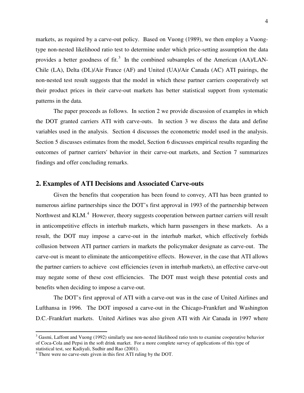markets, as required by a carve-out policy. Based on Vuong (1989), we then employ a Vuongtype non-nested likelihood ratio test to determine under which price-setting assumption the data provides a better goodness of fit.<sup>[3](#page-5-0)</sup> In the combined subsamples of the American  $(AA)/LAN-$ Chile (LA), Delta (DL)/Air France (AF) and United (UA)/Air Canada (AC) ATI pairings, the non-nested test result suggests that the model in which these partner carriers cooperatively set their product prices in their carve-out markets has better statistical support from systematic patterns in the data.

 The paper proceeds as follows. In section 2 we provide discussion of examples in which the DOT granted carriers ATI with carve-outs. In section 3 we discuss the data and define variables used in the analysis. Section 4 discusses the econometric model used in the analysis. Section 5 discusses estimates from the model, Section 6 discusses empirical results regarding the outcomes of partner carriers' behavior in their carve-out markets, and Section 7 summarizes findings and offer concluding remarks.

### **2. Examples of ATI Decisions and Associated Carve-outs**

Given the benefits that cooperation has been found to convey, ATI has been granted to numerous airline partnerships since the DOT's first approval in 1993 of the partnership between Northwest and KLM.<sup>[4](#page-5-1)</sup> However, theory suggests cooperation between partner carriers will result in anticompetitive effects in interhub markets, which harm passengers in these markets. As a result, the DOT may impose a carve-out in the interhub market, which effectively forbids collusion between ATI partner carriers in markets the policymaker designate as carve-out. The carve-out is meant to eliminate the anticompetitive effects. However, in the case that ATI allows the partner carriers to achieve cost efficiencies (even in interhub markets), an effective carve-out may negate some of these cost efficiencies. The DOT must weigh these potential costs and benefits when deciding to impose a carve-out.

The DOT's first approval of ATI with a carve-out was in the case of United Airlines and Lufthansa in 1996. The DOT imposed a carve-out in the Chicago-Frankfurt and Washington D.C.-Frankfurt markets. United Airlines was also given ATI with Air Canada in 1997 where

 $\overline{a}$ 

<span id="page-5-0"></span> $3$  Gasmi, Laffont and Vuong (1992) similarly use non-nested likelihood ratio tests to examine cooperative behavior of Coca-Cola and Pepsi in the soft drink market. For a more complete survey of applications of this type of statistical test, see Kadiyali, Sudhir and Rao (2001).

<span id="page-5-1"></span><sup>&</sup>lt;sup>4</sup> There were no carve-outs given in this first ATI ruling by the DOT.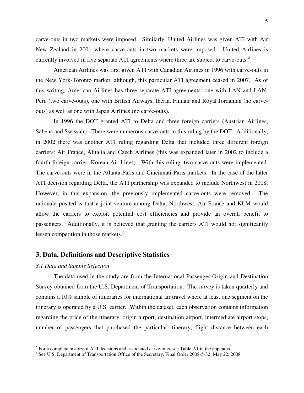carve-outs in two markets were imposed. Similarly, United Airlines was given ATI with Air New Zealand in 2001 where carve-outs in two markets were imposed. United Airlines is currently involved in five separate ATI agreements where three are subject to carve-outs.<sup>[5](#page-6-0)</sup>

American Airlines was first given ATI with Canadian Airlines in 1996 with carve-outs in the New York-Toronto market; although, this particular ATI agreement ceased in 2007. As of this writing, American Airlines has three separate ATI agreements: one with LAN and LAN-Peru (two carve-outs), one with British Airways, Iberia, Finnair and Royal Jordanian (no carveouts) as well as one with Japan Airlines (no carve-outs).

In 1996 the DOT granted ATI to Delta and three foreign carriers (Austrian Airlines, Sabena and Swissair). There were numerous carve-outs in this ruling by the DOT. Additionally, in 2002 there was another ATI ruling regarding Delta that included three different foreign carriers: Air France, Alitalia and Czech Airlines (this was expanded later in 2002 to include a fourth foreign carrier, Korean Air Lines). With this ruling, two carve-outs were implemented. The carve-outs were in the Atlanta-Paris and Cincinnati-Paris markets. In the case of the latter ATI decision regarding Delta, the ATI partnership was expanded to include Northwest in 2008. However, in this expansion, the previously implemented carve-outs were removed. The rationale posited is that a joint-venture among Delta, Northwest, Air France and KLM would allow the carriers to exploit potential cost efficiencies and provide an overall benefit to passengers. Additionally, it is believed that granting the carriers ATI would not significantly lessen competition in those markets.<sup>[6](#page-6-1)</sup>

# **3. Data, Definitions and Descriptive Statistics**

#### *3.1 Data and Sample Selection*

 $\overline{a}$ 

The data used in the study are from the International Passenger Origin and Destination Survey obtained from the U.S. Department of Transportation. The survey is taken quarterly and contains a 10% sample of itineraries for international air travel where at least one segment on the itinerary is operated by a U.S. carrier. Within the dataset, each observation contains information regarding the price of the itinerary, origin airport, destination airport, intermediate airport stops, number of passengers that purchased the particular itinerary, flight distance between each

<span id="page-6-0"></span> $<sup>5</sup>$  For a complete history of ATI decisions and associated carve-outs, see Table A1 in the appendix.</sup>

<span id="page-6-1"></span><sup>&</sup>lt;sup>6</sup> See U.S. Department of Transportation Office of the Secretary, Final Order 2008-5-32, May 22, 2008.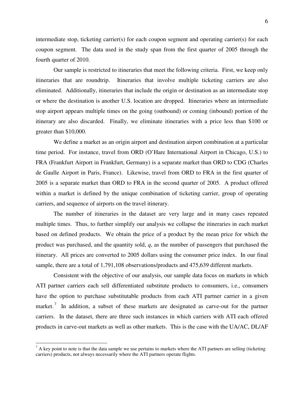intermediate stop, ticketing carrier(s) for each coupon segment and operating carrier(s) for each coupon segment. The data used in the study span from the first quarter of 2005 through the fourth quarter of 2010.

Our sample is restricted to itineraries that meet the following criteria. First, we keep only itineraries that are roundtrip. Itineraries that involve multiple ticketing carriers are also eliminated. Additionally, itineraries that include the origin or destination as an intermediate stop or where the destination is another U.S. location are dropped. Itineraries where an intermediate stop airport appears multiple times on the going (outbound) or coming (inbound) portion of the itinerary are also discarded. Finally, we eliminate itineraries with a price less than \$100 or greater than \$10,000.

 We define a market as an origin airport and destination airport combination at a particular time period. For instance, travel from ORD (O'Hare International Airport in Chicago, U.S.) to FRA (Frankfurt Airport in Frankfurt, Germany) is a separate market than ORD to CDG (Charles de Gaulle Airport in Paris, France). Likewise, travel from ORD to FRA in the first quarter of 2005 is a separate market than ORD to FRA in the second quarter of 2005. A product offered within a market is defined by the unique combination of ticketing carrier, group of operating carriers, and sequence of airports on the travel itinerary.

The number of itineraries in the dataset are very large and in many cases repeated multiple times. Thus, to further simplify our analysis we collapse the itineraries in each market based on defined products. We obtain the price of a product by the mean price for which the product was purchased, and the quantity sold, *q*, as the number of passengers that purchased the itinerary. All prices are converted to 2005 dollars using the consumer price index. In our final sample, there are a total of 1,791,108 observations/products and 475,639 different markets.

Consistent with the objective of our analysis, our sample data focus on markets in which ATI partner carriers each sell differentiated substitute products to consumers, i.e., consumers have the option to purchase substitutable products from each ATI partner carrier in a given market.<sup>[7](#page-7-0)</sup> In addition, a subset of these markets are designated as carve-out for the partner carriers. In the dataset, there are three such instances in which carriers with ATI each offered products in carve-out markets as well as other markets. This is the case with the UA/AC, DL/AF

 $\overline{a}$ 

<span id="page-7-0"></span> $<sup>7</sup>$  A kev point to note is that the data sample we use pertains to markets where the ATI partners are selling (ticketing</sup> carriers) products, not always necessarily where the ATI partners operate flights.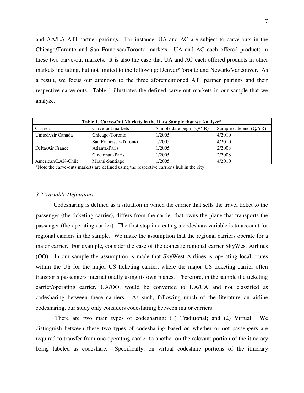and AA/LA ATI partner pairings. For instance, UA and AC are subject to carve-outs in the Chicago/Toronto and San Francisco/Toronto markets. UA and AC each offered products in these two carve-out markets. It is also the case that UA and AC each offered products in other markets including, but not limited to the following: Denver/Toronto and Newark/Vancouver. As a result, we focus our attention to the three aforementioned ATI partner pairings and their respective carve-outs. Table 1 illustrates the defined carve-out markets in our sample that we analyze.

| Table 1. Carve-Out Markets in the Data Sample that we Analyze* |                       |                          |                          |  |  |
|----------------------------------------------------------------|-----------------------|--------------------------|--------------------------|--|--|
| Carriers                                                       | Carve-out markets     | Sample date begin (Q/YR) | Sample date end $(Q/YR)$ |  |  |
| United/Air Canada                                              | Chicago-Toronto       | 1/2005                   | 4/2010                   |  |  |
|                                                                | San Francisco-Toronto | 1/2005                   | 4/2010                   |  |  |
| Delta/Air France                                               | Atlanta-Paris         | 1/2005                   | 2/2008                   |  |  |
|                                                                | Cincinnati-Paris      | 1/2005                   | 2/2008                   |  |  |
| American/LAN-Chile                                             | Miami-Santiago        | 1/2005                   | 4/2010                   |  |  |

\*Note the carve-outs markets are defined using the respective carrier's hub in the city.

#### *3.2 Variable Definitions*

Codesharing is defined as a situation in which the carrier that sells the travel ticket to the passenger (the ticketing carrier), differs from the carrier that owns the plane that transports the passenger (the operating carrier). The first step in creating a codeshare variable is to account for regional carriers in the sample. We make the assumption that the regional carriers operate for a major carrier. For example, consider the case of the domestic regional carrier SkyWest Airlines (OO). In our sample the assumption is made that SkyWest Airlines is operating local routes within the US for the major US ticketing carrier, where the major US ticketing carrier often transports passengers internationally using its own planes. Therefore, in the sample the ticketing carrier/operating carrier, UA/OO, would be converted to UA/UA and not classified as codesharing between these carriers. As such, following much of the literature on airline codesharing, our study only considers codesharing between major carriers.

 There are two main types of codesharing: (1) Traditional; and (2) Virtual. We distinguish between these two types of codesharing based on whether or not passengers are required to transfer from one operating carrier to another on the relevant portion of the itinerary being labeled as codeshare. Specifically, on virtual codeshare portions of the itinerary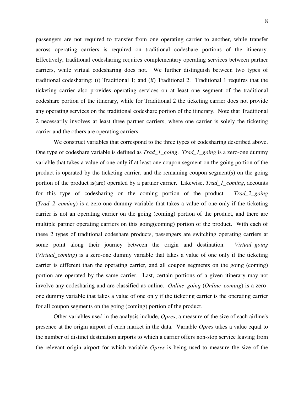passengers are not required to transfer from one operating carrier to another, while transfer across operating carriers is required on traditional codeshare portions of the itinerary. Effectively, traditional codesharing requires complementary operating services between partner carriers, while virtual codesharing does not. We further distinguish between two types of traditional codesharing: (*i*) Traditional 1; and (*ii*) Traditional 2. Traditional 1 requires that the ticketing carrier also provides operating services on at least one segment of the traditional codeshare portion of the itinerary, while for Traditional 2 the ticketing carrier does not provide any operating services on the traditional codeshare portion of the itinerary. Note that Traditional 2 necessarily involves at least three partner carriers, where one carrier is solely the ticketing carrier and the others are operating carriers.

We construct variables that correspond to the three types of codesharing described above. One type of codeshare variable is defined as *Trad\_1\_going*. *Trad\_1\_going* is a zero-one dummy variable that takes a value of one only if at least one coupon segment on the going portion of the product is operated by the ticketing carrier, and the remaining coupon segment(s) on the going portion of the product is(are) operated by a partner carrier. Likewise, *Trad\_1\_coming*, accounts for this type of codesharing on the coming portion of the product. *Trad\_2\_going* (*Trad\_2\_coming*) is a zero-one dummy variable that takes a value of one only if the ticketing carrier is not an operating carrier on the going (coming) portion of the product, and there are multiple partner operating carriers on this going(coming) portion of the product. With each of these 2 types of traditional codeshare products, passengers are switching operating carriers at some point along their journey between the origin and destination. *Virtual\_going* (*Virtual\_coming*) is a zero-one dummy variable that takes a value of one only if the ticketing carrier is different than the operating carrier, and all coupon segments on the going (coming) portion are operated by the same carrier. Last, certain portions of a given itinerary may not involve any codesharing and are classified as online. *Online\_going* (*Online\_coming*) is a zeroone dummy variable that takes a value of one only if the ticketing carrier is the operating carrier for all coupon segments on the going (coming) portion of the product.

Other variables used in the analysis include, *Opres*, a measure of the size of each airline's presence at the origin airport of each market in the data. Variable *Opres* takes a value equal to the number of distinct destination airports to which a carrier offers non-stop service leaving from the relevant origin airport for which variable *Opres* is being used to measure the size of the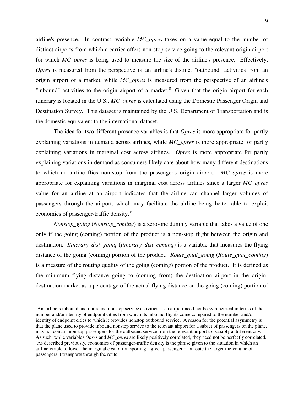airline's presence. In contrast, variable *MC\_opres* takes on a value equal to the number of distinct airports from which a carrier offers non-stop service going to the relevant origin airport for which *MC\_opres* is being used to measure the size of the airline's presence. Effectively, *Opres* is measured from the perspective of an airline's distinct "outbound" activities from an origin airport of a market, while *MC\_opres* is measured from the perspective of an airline's "inbound" activities to the origin airport of a market. $8$  Given that the origin airport for each itinerary is located in the U.S., *MC\_opres* is calculated using the Domestic Passenger Origin and Destination Survey. This dataset is maintained by the U.S. Department of Transportation and is the domestic equivalent to the international dataset.

The idea for two different presence variables is that *Opres* is more appropriate for partly explaining variations in demand across airlines, while *MC\_opres* is more appropriate for partly explaining variations in marginal cost across airlines. *Opres* is more appropriate for partly explaining variations in demand as consumers likely care about how many different destinations to which an airline flies non-stop from the passenger's origin airport. *MC\_opres* is more appropriate for explaining variations in marginal cost across airlines since a larger *MC\_opres* value for an airline at an airport indicates that the airline can channel larger volumes of passengers through the airport, which may facilitate the airline being better able to exploit economies of passenger-traffic density.<sup>[9](#page-10-1)</sup>

*Nonstop\_going* (*Nonstop\_coming*) is a zero-one dummy variable that takes a value of one only if the going (coming) portion of the product is a non-stop flight between the origin and destination. *Itinerary\_dist\_going* (*Itinerary\_dist\_coming*) is a variable that measures the flying distance of the going (coming) portion of the product. *Route\_qual\_going* (*Route\_qual\_coming*) is a measure of the routing quality of the going (coming) portion of the product. It is defined as the minimum flying distance going to (coming from) the destination airport in the origindestination market as a percentage of the actual flying distance on the going (coming) portion of

l

<span id="page-10-1"></span><span id="page-10-0"></span><sup>8</sup>An airline's inbound and outbound nonstop service activities at an airport need not be symmetrical in terms of the number and/or identity of endpoint cities from which its inbound flights come compared to the number and/or identity of endpoint cities to which it provides nonstop outbound service. A reason for the potential asymmetry is that the plane used to provide inbound nonstop service to the relevant airport for a subset of passengers on the plane, may not contain nonstop passengers for the outbound service from the relevant airport to possibly a different city. As such, while variables *Opres* and *MC\_opres* are likely positively correlated, they need not be perfectly correlated. <sup>9</sup>As described previously, economies of passenger-traffic density is the phrase given to the situation in which an airline is able to lower the marginal cost of transporting a given passenger on a route the larger the volume of passengers it transports through the route.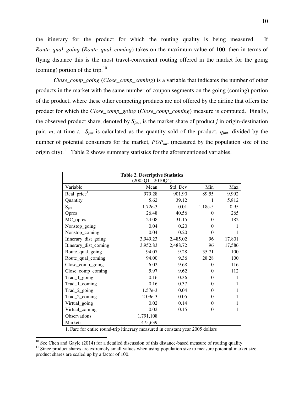the itinerary for the product for which the routing quality is being measured. If *Route qual going (Route qual coming)* takes on the maximum value of 100, then in terms of flying distance this is the most travel-convenient routing offered in the market for the going (coming) portion of the trip.<sup>[10](#page-11-0)</sup>

*Close\_comp\_going* (*Close\_comp\_coming*) is a variable that indicates the number of other products in the market with the same number of coupon segments on the going (coming) portion of the product, where these other competing products are not offered by the airline that offers the product for which the *Close\_comp\_going* (*Close\_comp\_coming*) measure is computed. Finally, the observed product share, denoted by  $S_{imt}$ , is the market share of product *j* in origin-destination pair, *m*, at time *t*.  $S_{imt}$  is calculated as the quantity sold of the product,  $q_{imt}$ , divided by the number of potential consumers for the market,  $POP_{mt}$ , (measured by the population size of the origin city).<sup>[11](#page-11-1)</sup> Table 2 shows summary statistics for the aforementioned variables.

| <b>Table 2. Descriptive Statistics</b><br>$(2005Q1 - 2010Q4)$ |           |          |          |        |  |
|---------------------------------------------------------------|-----------|----------|----------|--------|--|
| Variable                                                      | Mean      | Std. Dev | Min      | Max    |  |
| Real_price <sup>1</sup>                                       | 979.28    | 901.90   | 89.55    | 9,992  |  |
| Quantity                                                      | 5.62      | 39.12    | 1        | 5,812  |  |
| $S_{\text{imt}}$                                              | 1.72e-3   | 0.01     | 1.18e-5  | 0.95   |  |
| Opres                                                         | 26.48     | 40.56    | $\Omega$ | 265    |  |
| MC_opres                                                      | 24.08     | 31.15    | $\Omega$ | 182    |  |
| Nonstop_going                                                 | 0.04      | 0.20     | $\Omega$ |        |  |
| Nonstop_coming                                                | 0.04      | 0.20     | $\Omega$ | 1      |  |
| Itinerary_dist_going                                          | 3,949.23  | 2,485.02 | 96       | 17,801 |  |
| Itinerary_dist_coming                                         | 3,952.83  | 2,488.72 | 96       | 17,586 |  |
| Route_qual_going                                              | 94.07     | 9.28     | 35.71    | 100    |  |
| Route_qual_coming                                             | 94.00     | 9.36     | 28.28    | 100    |  |
| Close_comp_going                                              | 6.02      | 9.68     | $\Omega$ | 116    |  |
| Close_comp_coming                                             | 5.97      | 9.62     | $\Omega$ | 112    |  |
| Trad_1_going                                                  | 0.16      | 0.36     | $\theta$ | 1      |  |
| Trad_1_coming                                                 | 0.16      | 0.37     | $\Omega$ | 1      |  |
| Trad_2_going                                                  | 1.57e-3   | 0.04     | $\Omega$ | 1      |  |
| Trad_2_coming                                                 | 2.09e-3   | 0.05     | $\Omega$ |        |  |
| Virtual_going                                                 | 0.02      | 0.14     | $\Omega$ |        |  |
| Virtual_coming                                                | 0.02      | 0.15     | $\theta$ |        |  |
| <b>Observations</b>                                           | 1,791,108 |          |          |        |  |
| <b>Markets</b>                                                | 475,639   |          |          |        |  |

1. Fare for entire round-trip itinerary measured in constant year 2005 dollars

l

<span id="page-11-0"></span> $10$  See Chen and Gayle (2014) for a detailed discussion of this distance-based measure of routing quality.

<span id="page-11-1"></span> $11$  Since product shares are extremely small values when using population size to measure potential market size, product shares are scaled up by a factor of 100.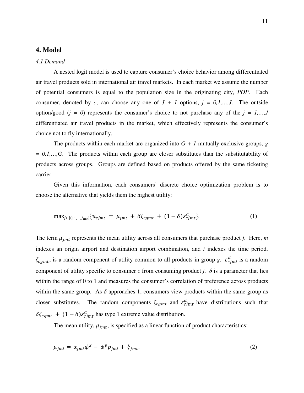# **4. Model**

# *4.1 Demand*

A nested logit model is used to capture consumer's choice behavior among differentiated air travel products sold in international air travel markets. In each market we assume the number of potential consumers is equal to the population size in the originating city, *POP*. Each consumer, denoted by *c*, can choose any one of  $J + 1$  options,  $j = 0,1,...,J$ . The outside option/good  $(j = 0)$  represents the consumer's choice to not purchase any of the  $j = 1,...,J$ differentiated air travel products in the market, which effectively represents the consumer's choice not to fly internationally.

The products within each market are organized into  $G + 1$  mutually exclusive groups, *g = 0,1,…,G*. The products within each group are closer substitutes than the substitutability of products across groups. Groups are defined based on products offered by the same ticketing carrier.

Given this information, each consumers' discrete choice optimization problem is to choose the alternative that yields them the highest utility:

$$
\max_{j \in \{0, 1, \dots, J_{mt}\}} \{u_{cjmt} = \mu_{jmt} + \delta \zeta_{cgmt} + (1 - \delta) \varepsilon_{cjmt}^d\}. \tag{1}
$$

The term  $\mu_{imt}$  represents the mean utility across all consumers that purchase product *j*. Here, *m* indexes an origin airport and destination airport combination, and *t* indexes the time period.  $\zeta_{cgmt}$ , is a random compenent of utility common to all products in group *g*.  $\varepsilon_{cjmt}^d$  is a random component of utility specific to consumer *c* from consuming product *j*.  $\delta$  is a parameter that lies within the range of 0 to 1 and measures the consumer's correlation of preference across products within the same group. As  $\delta$  approaches 1, consumers view products within the same group as closer substitutes. The random components  $\zeta_{cgmt}$  and  $\varepsilon_{cjmt}^d$  have distributions such that  $\delta \zeta_{cgmt} + (1 - \delta) \varepsilon_{cjmt}^d$  has type 1 extreme value distribution.

The mean utility,  $\mu_{jmt}$ , is specified as a linear function of product characteristics:

$$
\mu_{jmt} = x_{jmt} \phi^x - \phi^p p_{jmt} + \xi_{jmt}.
$$
\n(2)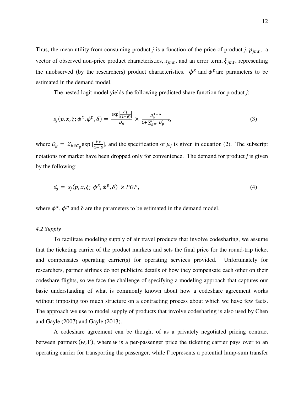Thus, the mean utility from consuming product *j* is a function of the price of product *j*,  $p_{imt}$ , a vector of observed non-price product characteristics,  $x_{jmt}$ , and an error term,  $\xi_{jmt}$ , representing the unobserved (by the researchers) product characteristics.  $\phi^x$  and  $\phi^p$  are parameters to be estimated in the demand model.

The nested logit model yields the following predicted share function for product *j*:

$$
s_j(p, x, \xi; \phi^x, \phi^p, \delta) = \frac{\exp\left[\frac{\mu_j}{(1-\delta)}\right]}{D_g} \times \frac{D_g^{1-\delta}}{1 + \sum_{g=1}^G D_g^{1-\delta}},\tag{3}
$$

where  $D_g = \sum_{k \in G_g} \exp \left[\frac{\mu_k}{1-\delta}\right]$ , and the specification of  $\mu_j$  is given in equation (2). The subscript notations for market have been dropped only for convenience. The demand for product *j* is given by the following:

$$
d_j = s_j(p, x, \xi; \phi^x, \phi^p, \delta) \times POP,
$$
\n<sup>(4)</sup>

where  $\phi^x$ ,  $\phi^p$  and  $\delta$  are the parameters to be estimated in the demand model.

# *4.2 Supply*

To facilitate modeling supply of air travel products that involve codesharing, we assume that the ticketing carrier of the product markets and sets the final price for the round-trip ticket and compensates operating carrier(s) for operating services provided. Unfortunately for researchers, partner airlines do not publicize details of how they compensate each other on their codeshare flights, so we face the challenge of specifying a modeling approach that captures our basic understanding of what is commonly known about how a codeshare agreement works without imposing too much structure on a contracting process about which we have few facts. The approach we use to model supply of products that involve codesharing is also used by Chen and Gayle (2007) and Gayle (2013).

 A codeshare agreement can be thought of as a privately negotiated pricing contract between partners  $(w, \Gamma)$ , where w is a per-passenger price the ticketing carrier pays over to an operating carrier for transporting the passenger, while Γ represents a potential lump-sum transfer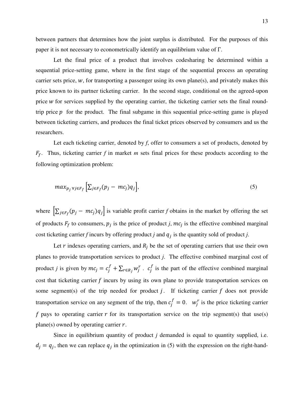between partners that determines how the joint surplus is distributed. For the purposes of this paper it is not necessary to econometrically identify an equilibrium value of Γ.

Let the final price of a product that involves codesharing be determined within a sequential price-setting game, where in the first stage of the sequential process an operating carrier sets price,  $w$ , for transporting a passenger using its own plane(s), and privately makes this price known to its partner ticketing carrier. In the second stage, conditional on the agreed-upon price  $w$  for services supplied by the operating carrier, the ticketing carrier sets the final roundtrip price  $p$  for the product. The final subgame in this sequential price-setting game is played between ticketing carriers, and produces the final ticket prices observed by consumers and us the researchers.

Let each ticketing carrier, denoted by *f*, offer to consumers a set of products, denoted by  $F_f$ . Thus, ticketing carrier *f* in market *m* sets final prices for these products according to the following optimization problem:

$$
max_{p_j \forall j \in F_f} \left[ \sum_{j \in F_f} (p_j - mc_j) q_j \right], \tag{5}
$$

where  $\left[\sum_{j \in F_f}(p_j - mc_j)q_j\right]$  is variable profit carrier *f* obtains in the market by offering the set of products  $F_f$  to consumers,  $p_j$  is the price of product *j*,  $mc_j$  is the effective combined marginal cost ticketing carrier *f* incurs by offering product *j* and  $q_j$  is the quantity sold of product *j*.

Let  $r$  indexes operating carriers, and  $R_i$  be the set of operating carriers that use their own planes to provide transportation services to product *j*. The effective combined marginal cost of product *j* is given by  $mc_j = c_j^f + \sum_{r \in R_j} w_j^r$ .  $c_j^f$  is the part of the effective combined marginal cost that ticketing carrier  $f$  incurs by using its own plane to provide transportation services on some segment(s) of the trip needed for product *j*. If ticketing carrier  $f$  does not provide transportation service on any segment of the trip, then  $c_j^f = 0$ .  $w_j^r$  is the price ticketing carrier f pays to operating carrier r for its transportation service on the trip segment(s) that use(s) plane(s) owned by operating carrier  $r$ .

Since in equilibrium quantity of product *j* demanded is equal to quantity supplied, i.e.  $d_j = q_j$ , then we can replace  $q_j$  in the optimization in (5) with the expression on the right-hand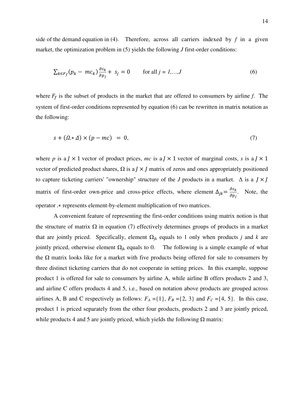side of the demand equation in  $(4)$ . Therefore, across all carriers indexed by  $f$  in a given market, the optimization problem in (5) yields the following *J* first-order conditions:

$$
\sum_{k \in F_f} (p_k - mc_k) \frac{\partial s_k}{\partial p_j} + s_j = 0 \qquad \text{for all } j = 1,...,J
$$
 (6)

where  $F_f$  is the subset of products in the market that are offered to consumers by airline *f*. The system of first-order conditions represented by equation (6) can be rewritten in matrix notation as the following:

$$
s + (\Omega * \Delta) \times (p - mc) = 0, \tag{7}
$$

where *p* is a  $J \times 1$  vector of product prices, *mc* is a  $J \times 1$  vector of marginal costs, *s* is a  $J \times 1$ vector of predicted product shares,  $\Omega$  is a  $J \times J$  matrix of zeros and ones appropriately positioned to capture ticketing carriers' "ownership" structure of the *J* products in a market.  $\Delta$  is a  $J \times J$ matrix of first-order own-price and cross-price effects, where element  $\Delta_{jk} = \frac{\partial s_k}{\partial p_j}$  $\partial p_j$ . Note, the operator .∗ represents element-by-element multiplication of two matrices.

A convenient feature of representing the first-order conditions using matrix notion is that the structure of matrix  $\Omega$  in equation (7) effectively determines groups of products in a market that are jointly priced. Specifically, element  $\Omega_{ik}$  equals to 1 only when products *j* and *k* are jointly priced, otherwise element  $\Omega_{ik}$  equals to 0. The following is a simple example of what the  $\Omega$  matrix looks like for a market with five products being offered for sale to consumers by three distinct ticketing carriers that do not cooperate in setting prices. In this example, suppose product 1 is offered for sale to consumers by airline A, while airline B offers products 2 and 3, and airline C offers products 4 and 5, i.e., based on notation above products are grouped across airlines A, B and C respectively as follows:  $F_A = \{1\}$ ,  $F_B = \{2, 3\}$  and  $F_C = \{4, 5\}$ . In this case, product 1 is priced separately from the other four products, products 2 and 3 are jointly priced, while products 4 and 5 are jointly priced, which yields the following  $\Omega$  matrix: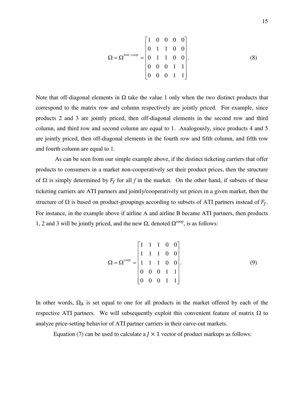$$
\Omega = \Omega^{non-coop} = \begin{bmatrix} 1 & 0 & 0 & 0 & 0 \\ 0 & 1 & 1 & 0 & 0 \\ 0 & 1 & 1 & 0 & 0 \\ 0 & 0 & 0 & 1 & 1 \\ 0 & 0 & 0 & 1 & 1 \end{bmatrix}.
$$
 (8)

Note that off-diagonal elements in  $\Omega$  take the value 1 only when the two distinct products that correspond to the matrix row and column respectively are jointly priced. For example, since products 2 and 3 are jointly priced, then off-diagonal elements in the second row and third column, and third row and second column are equal to 1. Analogously, since products 4 and 5 are jointly priced, then off-diagonal elements in the fourth row and fifth column, and fifth row and fourth column are equal to 1.

 As can be seen from our simple example above, if the distinct ticketing carriers that offer products to consumers in a market non-cooperatively set their product prices, then the structure of  $\Omega$  is simply determined by  $F_f$  for all *f* in the market. On the other hand, if subsets of these ticketing carriers are ATI partners and jointly/cooperatively set prices in a given market, then the structure of  $\Omega$  is based on product-groupings according to subsets of ATI partners instead of  $F_f$ . For instance, in the example above if airline A and airline B became ATI partners, then products 1, 2 and 3 will be jointly priced, and the new  $Ω$ , denoted  $Ω<sup>coop</sup>$ , is as follows:

$$
\Omega = \Omega^{coop} = \begin{bmatrix} 1 & 1 & 1 & 0 & 0 \\ 1 & 1 & 1 & 0 & 0 \\ 1 & 1 & 1 & 0 & 0 \\ 0 & 0 & 0 & 1 & 1 \\ 0 & 0 & 0 & 1 & 1 \end{bmatrix}.
$$
 (9)

In other words,  $\Omega_{ik}$  is set equal to one for all products in the market offered by each of the respective ATI partners. We will subsequently exploit this convenient feature of matrix  $Ω$  to analyze price-setting behavior of ATI partner carriers in their carve-out markets.

Equation (7) can be used to calculate a  $J \times 1$  vector of product markups as follows: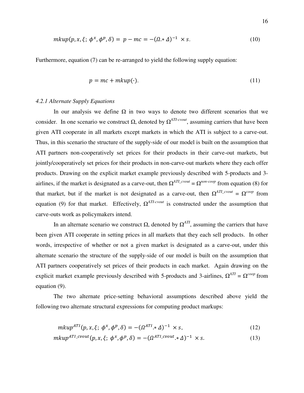$$
mkup(p, x, \xi; \phi^x, \phi^p, \delta) = p - mc = -(\Omega \cdot \Delta)^{-1} \times s. \tag{10}
$$

Furthermore, equation (7) can be re-arranged to yield the following supply equation:

$$
p = mc + mkup(\cdot). \tag{11}
$$

#### *4.2.1 Alternate Supply Equations*

In our analysis we define  $\Omega$  in two ways to denote two different scenarios that we consider. In one scenario we construct Ω, denoted by  $\Omega^{AT\text{-}c v out}$ , assuming carriers that have been given ATI cooperate in all markets except markets in which the ATI is subject to a carve-out. Thus, in this scenario the structure of the supply-side of our model is built on the assumption that ATI partners non-cooperatively set prices for their products in their carve-out markets, but jointly/cooperatively set prices for their products in non-carve-out markets where they each offer products. Drawing on the explicit market example previously described with 5-products and 3 airlines, if the market is designated as a carve-out, then  $\Omega^{AT\_{c}vout} = \Omega^{non\text{-}coop}$  from equation (8) for that market, but if the market is not designated as a carve-out, then  $\Omega^{AT\_{c}vout} = \Omega^{coop}$  from equation (9) for that market. Effectively,  $\Omega^{ATI-cvout}$  is constructed under the assumption that carve-outs work as policymakers intend.

In an alternate scenario we construct Ω, denoted by  $\Omega^{ATI}$ , assuming the carriers that have been given ATI cooperate in setting prices in all markets that they each sell products. In other words, irrespective of whether or not a given market is designated as a carve-out, under this alternate scenario the structure of the supply-side of our model is built on the assumption that ATI partners cooperatively set prices of their products in each market. Again drawing on the explicit market example previously described with 5-products and 3-airlines,  $\Omega^{AT} = \Omega^{coop}$  from equation (9).

The two alternate price-setting behavioral assumptions described above yield the following two alternate structural expressions for computing product markups:

$$
mkup^{ATI}(p, x, \xi; \phi^x, \phi^p, \delta) = -(\Omega^{ATI} * \Delta)^{-1} \times s,
$$
\n(12)

$$
mkup^{ATI\_covat}(p, x, \xi; \phi^x, \phi^p, \delta) = -(\Omega^{ATI\_covat} * \Delta)^{-1} \times s.
$$
 (13)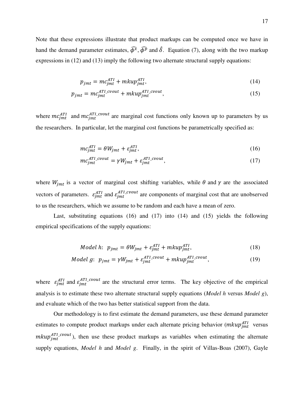Note that these expressions illustrate that product markups can be computed once we have in hand the demand parameter estimates,  $\widehat{\phi}^{\widehat{x}}$ ,  $\widehat{\phi}^{\widehat{p}}$  and  $\widehat{\delta}$ . Equation (7), along with the two markup expressions in (12) and (13) imply the following two alternate structural supply equations:

$$
p_{jmt} = mc_{jmt}^{ATI} + mkup_{jmt}^{ATI}, \qquad (14)
$$

$$
p_{jmt} = mc_{jmt}^{ATl\_covut} + mkup_{jmt}^{ATl\_covut},
$$
\n(15)

where  $mc_{jmt}^{ATI}$  and  $mc_{jmt}^{ATI}$  are marginal cost functions only known up to parameters by us the researchers. In particular, let the marginal cost functions be parametrically specified as:

$$
mc_{jmt}^{ATI} = \theta W_{jmt} + \varepsilon_{jmt}^{ATI},\tag{16}
$$

$$
mc_{jmt}^{ATI\_cvout} = \gamma W_{jmt} + \varepsilon_{jmt}^{ATI\_cvout},
$$
\n(17)

where  $W_{imt}$  is a vector of marginal cost shifting variables, while  $\theta$  and  $\gamma$  are the associated vectors of parameters.  $\varepsilon_{jmt}^{ATI}$  and  $\varepsilon_{jmt}^{ATI\_covout}$  are components of marginal cost that are unobserved to us the researchers, which we assume to be random and each have a mean of zero.

Last, substituting equations (16) and (17) into (14) and (15) yields the following empirical specifications of the supply equations:

$$
Model\ h:\ p_{jmt} = \theta W_{jmt} + \varepsilon_{jmt}^{ATI} + mkup_{jmt}^{ATI},\tag{18}
$$

$$
Model\ g\colon\ p_{jmt} = \gamma W_{jmt} + \varepsilon_{jmt}^{ATI\_covat} + mku p_{jmt}^{ATI\_covat},\tag{19}
$$

where  $\varepsilon_{jmt}^{ATI}$  and  $\varepsilon_{jmt}^{ATI\_cvolt}$  are the structural error terms. The key objective of the empirical analysis is to estimate these two alternate structural supply equations (*Model h* versus *Model g*), and evaluate which of the two has better statistical support from the data.

Our methodology is to first estimate the demand parameters, use these demand parameter estimates to compute product markups under each alternate pricing behavior ( $mkup_{jmt}^{ATI}$  versus  $mkup_{jmt}^{ATI\_covout}$ ), then use these product markups as variables when estimating the alternate supply equations, *Model h* and *Model g*. Finally, in the spirit of Villas-Boas (2007), Gayle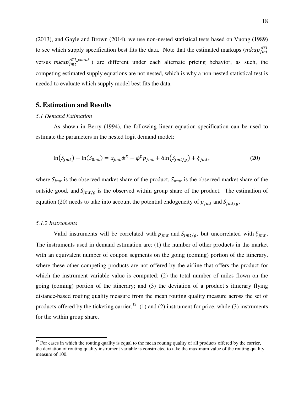(2013), and Gayle and Brown (2014), we use non-nested statistical tests based on Vuong (1989) to see which supply specification best fits the data. Note that the estimated markups  $(mkup_{jmt}^{ATI})$ versus  $mkup_{jmt}^{ATl\_covout}$ ) are different under each alternate pricing behavior, as such, the competing estimated supply equations are not nested, which is why a non-nested statistical test is needed to evaluate which supply model best fits the data.

# **5. Estimation and Results**

#### *5.1 Demand Estimation*

As shown in Berry (1994), the following linear equation specification can be used to estimate the parameters in the nested logit demand model:

$$
\ln(S_{jmt}) - \ln(S_{0mt}) = x_{jmt}\phi^x - \phi^p p_{jmt} + \delta \ln(S_{jmt/g}) + \xi_{jmt},\tag{20}
$$

where  $S_{imt}$  is the observed market share of the product,  $S_{0mt}$  is the observed market share of the outside good, and  $S_{jmt/g}$  is the observed within group share of the product. The estimation of equation (20) needs to take into account the potential endogeneity of  $p_{jmt}$  and  $S_{jmt/g}$ .

#### *5.1.2 Instruments*

 $\overline{a}$ 

Valid instruments will be correlated with  $p_{jmt}$  and  $S_{jmt/q}$ , but uncorrelated with  $\xi_{jmt}$ . The instruments used in demand estimation are: (1) the number of other products in the market with an equivalent number of coupon segments on the going (coming) portion of the itinerary, where these other competing products are not offered by the airline that offers the product for which the instrument variable value is computed; (2) the total number of miles flown on the going (coming) portion of the itinerary; and (3) the deviation of a product's itinerary flying distance-based routing quality measure from the mean routing quality measure across the set of products offered by the ticketing carrier.<sup>[12](#page-19-0)</sup> (1) and (2) instrument for price, while (3) instruments for the within group share.

<span id="page-19-0"></span> $12$  For cases in which the routing quality is equal to the mean routing quality of all products offered by the carrier, the deviation of routing quality instrument variable is constructed to take the maximum value of the routing quality measure of 100.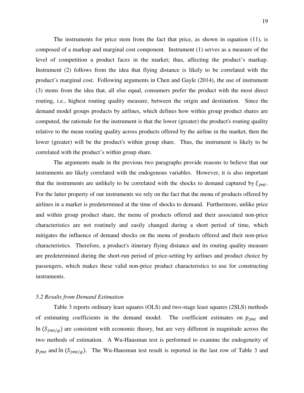The instruments for price stem from the fact that price, as shown in equation (11), is composed of a markup and marginal cost component. Instrument (1) serves as a measure of the level of competition a product faces in the market; thus, affecting the product's markup. Instrument (2) follows from the idea that flying distance is likely to be correlated with the product's marginal cost. Following arguments in Chen and Gayle (2014), the use of instrument (3) stems from the idea that, all else equal, consumers prefer the product with the most direct routing, i.e., highest routing quality measure, between the origin and destination. Since the demand model groups products by airlines, which defines how within group product shares are computed, the rationale for the instrument is that the lower (greater) the product's routing quality relative to the mean routing quality across products offered by the airline in the market, then the lower (greater) will be the product's within group share. Thus, the instrument is likely to be correlated with the product's within group share.

The arguments made in the previous two paragraphs provide reasons to believe that our instruments are likely correlated with the endogenous variables. However, it is also important that the instruments are unlikely to be correlated with the shocks to demand captured by  $\xi_{imt}$ . For the latter property of our instruments we rely on the fact that the menu of products offered by airlines in a market is predetermined at the time of shocks to demand. Furthermore, unlike price and within group product share, the menu of products offered and their associated non-price characteristics are not routinely and easily changed during a short period of time, which mitigates the influence of demand shocks on the menu of products offered and their non-price characteristics. Therefore, a product's itinerary flying distance and its routing quality measure are predetermined during the short-run period of price-setting by airlines and product choice by passengers, which makes these valid non-price product characteristics to use for constructing instruments.

#### *5.2 Results from Demand Estimation*

Table 3 reports ordinary least squares (OLS) and two-stage least squares (2SLS) methods of estimating coefficients in the demand model. The coefficient estimates on  $p_{jmt}$  and  $\ln (S_{imt/q})$  are consistent with economic theory, but are very different in magnitude across the two methods of estimation. A Wu-Hausman test is performed to examine the endogeneity of  $p_{jmt}$  and ln ( $S_{jmt/g}$ ). The Wu-Hausman test result is reported in the last row of Table 3 and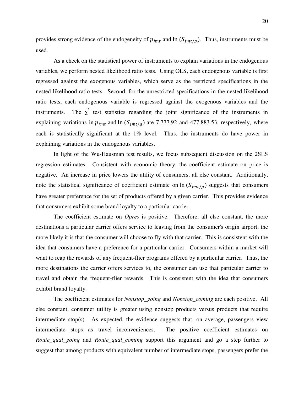provides strong evidence of the endogeneity of  $p_{jmt}$  and  $\ln(S_{jmt/g})$ . Thus, instruments must be used.

As a check on the statistical power of instruments to explain variations in the endogenous variables, we perform nested likelihood ratio tests. Using OLS, each endogenous variable is first regressed against the exogenous variables, which serve as the restricted specifications in the nested likelihood ratio tests. Second, for the unrestricted specifications in the nested likelihood ratio tests, each endogenous variable is regressed against the exogenous variables and the instruments. The  $\chi^2$  test statistics regarding the joint significance of the instruments in explaining variations in  $p_{imt}$  and  $\ln (S_{imt/q})$  are 7,777.92 and 477,883.53, respectively, where each is statistically significant at the 1% level. Thus, the instruments do have power in explaining variations in the endogenous variables.

In light of the Wu-Hausman test results, we focus subsequent discussion on the 2SLS regression estimates. Consistent with economic theory, the coefficient estimate on price is negative. An increase in price lowers the utility of consumers, all else constant. Additionally, note the statistical significance of coefficient estimate on  $\ln(S<sub>imt/a</sub>)$  suggests that consumers have greater preference for the set of products offered by a given carrier. This provides evidence that consumers exhibit some brand loyalty to a particular carrier.

The coefficient estimate on *Opres* is positive. Therefore, all else constant, the more destinations a particular carrier offers service to leaving from the consumer's origin airport, the more likely it is that the consumer will choose to fly with that carrier. This is consistent with the idea that consumers have a preference for a particular carrier. Consumers within a market will want to reap the rewards of any frequent-flier programs offered by a particular carrier. Thus, the more destinations the carrier offers services to, the consumer can use that particular carrier to travel and obtain the frequent-flier rewards. This is consistent with the idea that consumers exhibit brand loyalty.

The coefficient estimates for *Nonstop\_going* and *Nonstop\_coming* are each positive. All else constant, consumer utility is greater using nonstop products versus products that require intermediate stop(s). As expected, the evidence suggests that, on average, passengers view intermediate stops as travel inconveniences. The positive coefficient estimates on *Route\_qual\_going* and *Route\_qual\_coming* support this argument and go a step further to suggest that among products with equivalent number of intermediate stops, passengers prefer the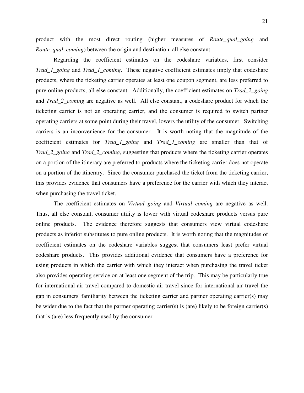product with the most direct routing (higher measures of *Route\_qual\_going* and *Route qual coming*) between the origin and destination, all else constant.

Regarding the coefficient estimates on the codeshare variables, first consider *Trad\_1\_going* and *Trad\_1\_coming*. These negative coefficient estimates imply that codeshare products, where the ticketing carrier operates at least one coupon segment, are less preferred to pure online products, all else constant. Additionally, the coefficient estimates on *Trad\_2\_going* and *Trad\_2\_coming* are negative as well. All else constant, a codeshare product for which the ticketing carrier is not an operating carrier, and the consumer is required to switch partner operating carriers at some point during their travel, lowers the utility of the consumer. Switching carriers is an inconvenience for the consumer. It is worth noting that the magnitude of the coefficient estimates for *Trad\_1\_going* and *Trad\_1\_coming* are smaller than that of *Trad\_2\_going* and *Trad\_2\_coming*, suggesting that products where the ticketing carrier operates on a portion of the itinerary are preferred to products where the ticketing carrier does not operate on a portion of the itinerary. Since the consumer purchased the ticket from the ticketing carrier, this provides evidence that consumers have a preference for the carrier with which they interact when purchasing the travel ticket.

The coefficient estimates on *Virtual\_going* and *Virtual\_coming* are negative as well. Thus, all else constant, consumer utility is lower with virtual codeshare products versus pure online products. The evidence therefore suggests that consumers view virtual codeshare products as inferior substitutes to pure online products. It is worth noting that the magnitudes of coefficient estimates on the codeshare variables suggest that consumers least prefer virtual codeshare products. This provides additional evidence that consumers have a preference for using products in which the carrier with which they interact when purchasing the travel ticket also provides operating service on at least one segment of the trip. This may be particularly true for international air travel compared to domestic air travel since for international air travel the gap in consumers' familiarity between the ticketing carrier and partner operating carrier(s) may be wider due to the fact that the partner operating carrier(s) is (are) likely to be foreign carrier(s) that is (are) less frequently used by the consumer.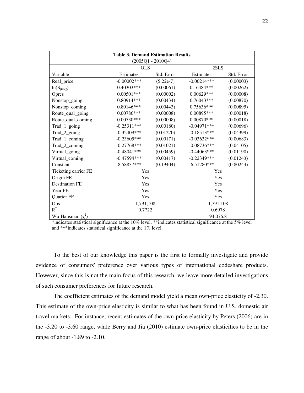| <b>Table 3. Demand Estimation Results</b> |                |             |                |            |  |
|-------------------------------------------|----------------|-------------|----------------|------------|--|
| $(2005Q1 - 2010Q4)$                       |                |             |                |            |  |
|                                           | <b>OLS</b>     |             | 2SLS           |            |  |
| Variable                                  | Estimates      | Std. Error  | Estimates      | Std. Error |  |
| Real_price                                | $-0.00002$ *** | $(5.22e-7)$ | $-0.00214***$  | (0.00003)  |  |
| $ln(S_{\text{imt/g}})$                    | 0.40303***     | (0.00061)   | $0.16484***$   | (0.00262)  |  |
| Opres                                     | $0.00501***$   | (0.00002)   | $0.00629***$   | (0.00008)  |  |
| Nonstop_going                             | 0.80914***     | (0.00434)   | $0.76043***$   | (0.00870)  |  |
| Nonstop_coming                            | $0.80146***$   | (0.00443)   | 0.75636***     | (0.00895)  |  |
| Route_qual_going                          | $0.00786***$   | (0.00008)   | 0.00895***     | (0.00018)  |  |
| Route_qual_coming                         | $0.00730***$   | (0.00008)   | $0.00870***$   | (0.00018)  |  |
| Trad_1_going                              | $-0.25311***$  | (0.00180)   | $-0.04971$ *** | (0.00696)  |  |
| Trad_2_going                              | $-0.32409$ *** | (0.01270)   | $-0.18513***$  | (0.04399)  |  |
| Trad_1_coming                             | $-0.23605***$  | (0.00171)   | $-0.03632***$  | (0.00683)  |  |
| Trad_2_coming                             | $-0.27768$ *** | (0.01021)   | $-0.08736***$  | (0.04105)  |  |
| Virtual_going                             | $-0.48041***$  | (0.00459)   | $-0.44063***$  | (0.01190)  |  |
| Virtual_coming                            | $-0.47594***$  | (0.00417)   | $-0.22349***$  | (0.01243)  |  |
| Constant                                  | $-8.58837***$  | (0.19404)   | $-6.51280***$  | (0.80244)  |  |
| Ticketing carrier FE                      | Yes            |             | Yes            |            |  |
| Origin FE                                 | Yes            |             | Yes            |            |  |
| <b>Destination FE</b>                     | Yes            |             | Yes            |            |  |
| Year FE                                   | Yes            |             | Yes            |            |  |
| Quarter FE                                | Yes            |             | Yes            |            |  |
| Obs                                       | 1,791,108      |             | 1,791,108      |            |  |
| $R^2$                                     | 0.7722         |             | 0.6978         |            |  |
| Wu-Hausman $(\chi^2)$                     | 94,076.8       |             |                |            |  |

\*indicates statistical significance at the 10% level, \*\*indicates statistical significance at the 5% level and \*\*\*indicates statistical significance at the 1% level.

To the best of our knowledge this paper is the first to formally investigate and provide evidence of consumers' preference over various types of international codeshare products. However, since this is not the main focus of this research, we leave more detailed investigations of such consumer preferences for future research.

The coefficient estimates of the demand model yield a mean own-price elasticity of -2.30. This estimate of the own-price elasticity is similar to what has been found in U.S. domestic air travel markets. For instance, recent estimates of the own-price elasticity by Peters (2006) are in the -3.20 to -3.60 range, while Berry and Jia (2010) estimate own-price elasticities to be in the range of about -1.89 to -2.10.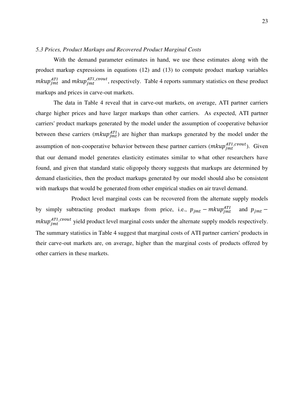#### *5.3 Prices, Product Markups and Recovered Product Marginal Costs*

With the demand parameter estimates in hand, we use these estimates along with the product markup expressions in equations (12) and (13) to compute product markup variables  $mkup_{jmt}^{ATI}$  and  $mkup_{jmt}^{ATI\_covout}$ , respectively. Table 4 reports summary statistics on these product markups and prices in carve-out markets.

 The data in Table 4 reveal that in carve-out markets, on average, ATI partner carriers charge higher prices and have larger markups than other carriers. As expected, ATI partner carriers' product markups generated by the model under the assumption of cooperative behavior between these carriers  $(mkup_{jmt}^{ATI})$  are higher than markups generated by the model under the assumption of non-cooperative behavior between these partner carriers  $(mkup_{jmt}^{ATI\_cvout})$ . Given that our demand model generates elasticity estimates similar to what other researchers have found, and given that standard static oligopoly theory suggests that markups are determined by demand elasticities, then the product markups generated by our model should also be consistent with markups that would be generated from other empirical studies on air travel demand.

Product level marginal costs can be recovered from the alternate supply models by simply subtracting product markups from price, i.e.,  $p_{jmt} - mkup_{jmt}^{ATI}$  and  $p_{jmt}$  $mkup_{jmt}^{ATI\_covout}$  yield product level marginal costs under the alternate supply models respectively. The summary statistics in Table 4 suggest that marginal costs of ATI partner carriers' products in their carve-out markets are, on average, higher than the marginal costs of products offered by other carriers in these markets.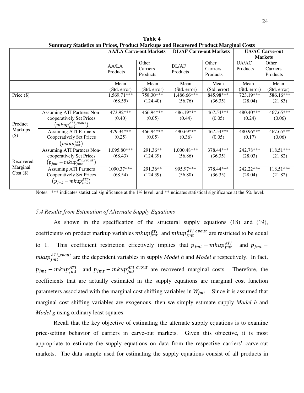|                          |                                                                                                         | Duninai y Diausiks oli 1 fiks, 1 fouutt markups and Kttovertu 1 fouutt marginai Costs<br><b>AA/LA Carve-out Markets</b> |                               | <b>DL/AF Carve-out Markets</b> |                               | <b>UA/AC Carve-out</b> |                               |
|--------------------------|---------------------------------------------------------------------------------------------------------|-------------------------------------------------------------------------------------------------------------------------|-------------------------------|--------------------------------|-------------------------------|------------------------|-------------------------------|
|                          |                                                                                                         |                                                                                                                         |                               |                                |                               | <b>Markets</b>         |                               |
|                          |                                                                                                         | AA/LA<br>Products                                                                                                       | Other<br>Carriers<br>Products | DL/AF<br>Products              | Other<br>Carriers<br>Products | UA/AC<br>Products      | Other<br>Carriers<br>Products |
|                          |                                                                                                         | Mean<br>(Std. error)                                                                                                    | Mean<br>(Std. error)          | Mean<br>(Std. error)           | Mean<br>(Std. error)          | Mean<br>(Std. error)   | Mean<br>(Std. error)          |
| Price $(\$)$             |                                                                                                         | 1,569.71***<br>(68.55)                                                                                                  | 758.30***<br>(124.40)         | 1,486.66***<br>(56.76)         | 845.98***<br>(36.35)          | 723.19***<br>(28.04)   | 586.16***<br>(21.83)          |
| Product                  | <b>Assuming ATI Partners Non-</b><br>cooperatively Set Prices<br>$(mkup_{imt}^{ATI\_covout})$           | 473.92***<br>(0.40)                                                                                                     | 466.94***<br>(0.05)           | 486.19***<br>(0.44)            | 467.54***<br>(0.05)           | 480.40***<br>(0.24)    | 467.65***<br>(0.06)           |
| <b>Markups</b><br>$(\$)$ | <b>Assuming ATI Partners</b><br><b>Cooperatively Set Prices</b><br>$(mkup_{imt}^{ATI})$                 | 479.34***<br>(0.25)                                                                                                     | 466.94***<br>(0.05)           | 490.69***<br>(0.36)            | 467.54***<br>(0.05)           | 480.96***<br>(0.17)    | 467.65***<br>(0.06)           |
| Recovered                | <b>Assuming ATI Partners Non-</b><br>cooperatively Set Prices<br>$(p_{jmt} - m kup_{jmt}^{ATI\_cvout})$ | $1,095.80***$<br>(68.43)                                                                                                | 291.36**<br>(124.39)          | $1,000.48***$<br>(56.86)       | 378.44***<br>(36.35)          | 242.78***<br>(28.03)   | $118.51***$<br>(21.82)        |
| Marginal<br>$Cost (\$)$  | <b>Assuming ATI Partners</b><br><b>Cooperatively Set Prices</b><br>$(p_{imt} - mkup_{imt}^{ATI})$       | 1090.37***<br>(68.54)                                                                                                   | 291.36**<br>(124.39)          | 995.97***<br>(56.80)           | 378.44***<br>(36.35)          | 242.22***<br>(28.04)   | $118.51***$<br>(21.82)        |

**Table 4 Summary Statistics on Prices, Product Markups and Recovered Product Marginal Costs** 

Notes: \*\*\* indicates statistical significance at the 1% level, and \*\*indicates statistical significance at the 5% level.

#### *5.4 Results from Estimation of Alternate Supply Equations*

As shown in the specification of the structural supply equations (18) and (19), coefficients on product markup variables  $mkup_{jmt}^{ATI}$  and  $mkup_{jmt}^{ATI\_cvout}$  are restricted to be equal to 1. This coefficient restriction effectively implies that  $p_{jmt} - mkup_{jmt}^{ATI}$  and  $p_{jmt}$  $mkup_{jmt}^{ATI\_covout}$  are the dependent variables in supply *Model h* and *Model g* respectively. In fact,  $p_{jmt} - m kup_{jmt}^{ATI}$  and  $p_{jmt} - m kup_{jmt}^{ATI\_covout}$  are recovered marginal costs. Therefore, the coefficients that are actually estimated in the supply equations are marginal cost function parameters associated with the marginal cost shifting variables in  $W_{jmt}$ . Since it is assumed that marginal cost shifting variables are exogenous, then we simply estimate supply *Model h* and *Model g* using ordinary least squares.

Recall that the key objective of estimating the alternate supply equations is to examine price-setting behavior of carriers in carve-out markets. Given this objective, it is most appropriate to estimate the supply equations on data from the respective carriers' carve-out markets. The data sample used for estimating the supply equations consist of all products in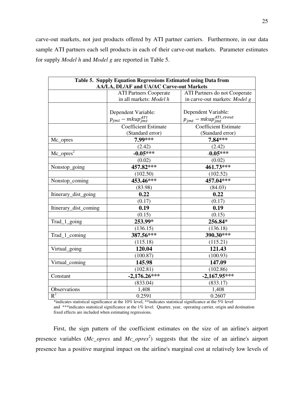carve-out markets, not just products offered by ATI partner carriers. Furthermore, in our data sample ATI partners each sell products in each of their carve-out markets. Parameter estimates for supply *Model h* and *Model g* are reported in Table 5.

| Table 5. Supply Equation Regressions Estimated using Data from |                                          |                                      |  |  |
|----------------------------------------------------------------|------------------------------------------|--------------------------------------|--|--|
|                                                                | AA/LA, DL/AF and UA/AC Carve-out Markets |                                      |  |  |
|                                                                | <b>ATI Partners Cooperate</b>            | ATI Partners do not Cooperate        |  |  |
|                                                                | in all markets: Model h                  | in carve-out markets: Model g        |  |  |
|                                                                |                                          |                                      |  |  |
|                                                                | Dependent Variable:                      | Dependent Variable:                  |  |  |
|                                                                | $p_{jmt} - m kup_{jmt}^{ATI}$            | $p_{jmt} - mkup_{jmt}^{ATI\_covout}$ |  |  |
|                                                                | <b>Coefficient Estimate</b>              | <b>Coefficient Estimate</b>          |  |  |
|                                                                | (Standard error)                         | (Standard error)                     |  |  |
| Mc_opres                                                       | 7.99***                                  | 7.84***                              |  |  |
|                                                                | (2.42)                                   | (2.42)                               |  |  |
| $Mc_{optes}^2$                                                 | $-0.05***$                               | $-0.05***$                           |  |  |
|                                                                | (0.02)                                   | (0.02)                               |  |  |
| Nonstop_going                                                  | 457.82***                                | 461.73***                            |  |  |
|                                                                | (102.50)                                 | (102.52)                             |  |  |
| Nonstop_coming                                                 | 453.46***                                | 457.04***                            |  |  |
|                                                                | (83.98)                                  | (84.03)                              |  |  |
| Itinerary_dist_going                                           | 0.22                                     | 0.22                                 |  |  |
|                                                                | (0.17)                                   | (0.17)                               |  |  |
| Itinerary_dist_coming                                          | 0.19                                     | 0.19                                 |  |  |
|                                                                | (0.15)                                   | (0.15)                               |  |  |
| Trad_1_going                                                   | 253.99*                                  | 256.84*                              |  |  |
|                                                                | (136.15)                                 | (136.18)                             |  |  |
| Trad_1_coming                                                  | 387.56***                                | 390.30***                            |  |  |
|                                                                | (115.18)                                 | (115.21)                             |  |  |
| Virtual_going                                                  | 120.04                                   | 121.43                               |  |  |
|                                                                | (100.87)                                 | (100.93)                             |  |  |
| Virtual_coming                                                 | 145.98                                   | 147.09                               |  |  |
|                                                                | (102.81)                                 | (102.86)                             |  |  |
| Constant                                                       | $-2,176.26***$                           | $-2,167.95***$                       |  |  |
|                                                                | (833.04)                                 | (833.17)                             |  |  |
| Observations                                                   | 1,408                                    | 1,408                                |  |  |
| $R^2$                                                          |                                          |                                      |  |  |

\*indicates statistical significance at the 10% level, \*\*indicates statistical significance at the 5% level and \*\*\*indicates statistical significance at the 1% level. Quarter, year, operating carrier, origin and destination fixed effects are included when estimating regressions.

First, the sign pattern of the coefficient estimates on the size of an airline's airport presence variables (*Mc\_opres* and *Mc\_opres<sup>2</sup>* ) suggests that the size of an airline's airport presence has a positive marginal impact on the airline's marginal cost at relatively low levels of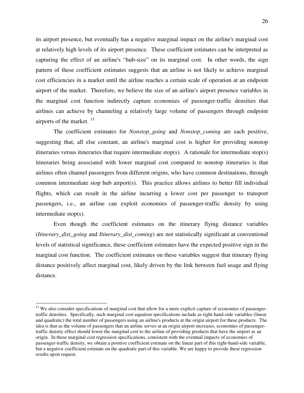its airport presence, but eventually has a negative marginal impact on the airline's marginal cost at relatively high levels of its airport presence. These coefficient estimates can be interpreted as capturing the effect of an airline's "hub-size" on its marginal cost. In other words, the sign pattern of these coefficient estimates suggests that an airline is not likely to achieve marginal cost efficiencies in a market until the airline reaches a certain scale of operation at an endpoint airport of the market. Therefore, we believe the size of an airline's airport presence variables in the marginal cost function indirectly capture economies of passenger-traffic densities that airlines can achieve by channeling a relatively large volume of passengers through endpoint airports of the market. [13](#page-27-0)

The coefficient estimates for *Nonstop\_going* and *Nonstop\_coming* are each positive, suggesting that, all else constant, an airline's marginal cost is higher for providing nonstop itineraries versus itineraries that require intermediate stop(s). A rationale for intermediate stop(s) itineraries being associated with lower marginal cost compared to nonstop itineraries is that airlines often channel passengers from different origins, who have common destinations, through common intermediate stop hub airport(s). This practice allows airlines to better fill individual flights, which can result in the airline incurring a lower cost per passenger to transport passengers, i.e., an airline can exploit economies of passenger-traffic density by using intermediate stop(s).

Even though the coefficient estimates on the itinerary flying distance variables (*Itinerary\_dist\_going* and *Itinerary\_dist\_coming*) are not statistically significant at conventional levels of statistical significance, these coefficient estimates have the expected positive sign in the marginal cost function. The coefficient estimates on these variables suggest that itinerary flying distance positively affect marginal cost, likely driven by the link between fuel usage and flying distance.

l

<span id="page-27-0"></span> $13$  We also consider specifications of marginal cost that allow for a more explicit capture of economies of passengertraffic densities. Specifically, such marginal cost equation specifications include as right-hand-side variables (linear and quadratic) the total number of passengers using an airline's products at the origin airport for these products. The idea is that as the volume of passengers that an airline serves at an origin airport increases, economies of passengertraffic density effect should lower the marginal cost to the airline of providing products that have the airport as an origin. In these marginal cost regression specifications, consistent with the eventual impacts of economies of passenger-traffic density, we obtain a positive coefficient estimate on the linear part of this right-hand-side variable, but a negative coefficient estimate on the quadratic part of this variable. We are happy to provide these regression results upon request.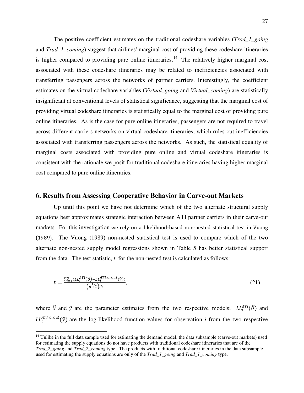The positive coefficient estimates on the traditional codeshare variables (*Trad\_1\_going* and *Trad\_1\_coming*) suggest that airlines' marginal cost of providing these codeshare itineraries is higher compared to providing pure online itineraries.<sup>[14](#page-28-0)</sup> The relatively higher marginal cost associated with these codeshare itineraries may be related to inefficiencies associated with transferring passengers across the networks of partner carriers. Interestingly, the coefficient estimates on the virtual codeshare variables (*Virtual\_going* and *Virtual\_coming*) are statistically insignificant at conventional levels of statistical significance, suggesting that the marginal cost of providing virtual codeshare itineraries is statistically equal to the marginal cost of providing pure online itineraries. As is the case for pure online itineraries, passengers are not required to travel across different carriers networks on virtual codeshare itineraries, which rules out inefficiencies associated with transferring passengers across the networks. As such, the statistical equality of marginal costs associated with providing pure online and virtual codeshare itineraries is consistent with the rationale we posit for traditional codeshare itineraries having higher marginal cost compared to pure online itineraries.

### **6. Results from Assessing Cooperative Behavior in Carve-out Markets**

Up until this point we have not determine which of the two alternate structural supply equations best approximates strategic interaction between ATI partner carriers in their carve-out markets. For this investigation we rely on a likelihood-based non-nested statistical test in Vuong (1989). The Vuong (1989) non-nested statistical test is used to compare which of the two alternate non-nested supply model regressions shown in Table 5 has better statistical support from the data. The test statistic, *t*, for the non-nested test is calculated as follows:

$$
t = \frac{\sum_{i=1}^{n} (LL_i^{ATI}(\widehat{\theta}) - LL_i^{ATI\_covat}(\widehat{\gamma}))}{(n^{1/2})\widehat{\omega}},
$$
\n(21)

where  $\hat{\theta}$  and  $\hat{\gamma}$  are the parameter estimates from the two respective models;  $LL_i^{ATI}(\hat{\theta})$  and  $LL_i^{AT\_covout}(\hat{\gamma})$  are the log-likelihood function values for observation *i* from the two respective

 $\overline{a}$ 

<span id="page-28-0"></span> $14$  Unlike in the full data sample used for estimating the demand model, the data subsample (carve-out markets) used for estimating the supply equations do not have products with traditional codeshare itineraries that are of the *Trad\_2\_going* and *Trad\_2\_coming* type. The products with traditional codeshare itineraries in the data subsample used for estimating the supply equations are only of the *Trad\_1\_going* and *Trad\_1\_coming* type.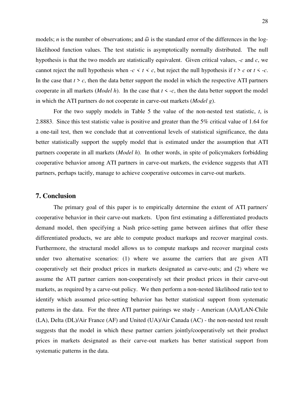models; *n* is the number of observations; and  $\hat{\omega}$  is the standard error of the differences in the loglikelihood function values. The test statistic is asymptotically normally distributed. The null hypothesis is that the two models are statistically equivalent. Given critical values, *-c* and *c*, we cannot reject the null hypothesis when  $-c < t < c$ , but reject the null hypothesis if  $t > c$  or  $t < -c$ . In the case that  $t > c$ , then the data better support the model in which the respective ATI partners cooperate in all markets (*Model h*). In the case that  $t < -c$ , then the data better support the model in which the ATI partners do not cooperate in carve-out markets (*Model g*).

For the two supply models in Table 5 the value of the non-nested test statistic, *t*, is 2.8883. Since this test statistic value is positive and greater than the 5% critical value of 1.64 for a one-tail test, then we conclude that at conventional levels of statistical significance, the data better statistically support the supply model that is estimated under the assumption that ATI partners cooperate in all markets (*Model h*). In other words, in spite of policymakers forbidding cooperative behavior among ATI partners in carve-out markets, the evidence suggests that ATI partners, perhaps tacitly, manage to achieve cooperative outcomes in carve-out markets.

#### **7. Conclusion**

The primary goal of this paper is to empirically determine the extent of ATI partners' cooperative behavior in their carve-out markets. Upon first estimating a differentiated products demand model, then specifying a Nash price-setting game between airlines that offer these differentiated products, we are able to compute product markups and recover marginal costs. Furthermore, the structural model allows us to compute markups and recover marginal costs under two alternative scenarios: (1) where we assume the carriers that are given ATI cooperatively set their product prices in markets designated as carve-outs; and (2) where we assume the ATI partner carriers non-cooperatively set their product prices in their carve-out markets, as required by a carve-out policy. We then perform a non-nested likelihood ratio test to identify which assumed price-setting behavior has better statistical support from systematic patterns in the data. For the three ATI partner pairings we study - American (AA)/LAN-Chile (LA), Delta (DL)/Air France (AF) and United (UA)/Air Canada (AC) - the non-nested test result suggests that the model in which these partner carriers jointly/cooperatively set their product prices in markets designated as their carve-out markets has better statistical support from systematic patterns in the data.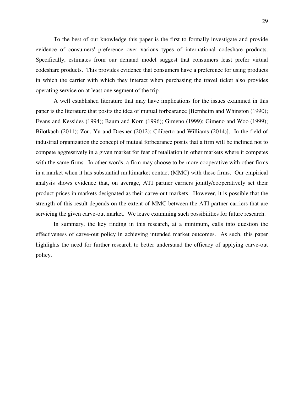To the best of our knowledge this paper is the first to formally investigate and provide evidence of consumers' preference over various types of international codeshare products. Specifically, estimates from our demand model suggest that consumers least prefer virtual codeshare products. This provides evidence that consumers have a preference for using products in which the carrier with which they interact when purchasing the travel ticket also provides operating service on at least one segment of the trip.

A well established literature that may have implications for the issues examined in this paper is the literature that posits the idea of mutual forbearance [Bernheim and Whinston (1990); Evans and Kessides (1994); Baum and Korn (1996); Gimeno (1999); Gimeno and Woo (1999); Bilotkach (2011); Zou, Yu and Dresner (2012); Ciliberto and Williams (2014)]. In the field of industrial organization the concept of mutual forbearance posits that a firm will be inclined not to compete aggressively in a given market for fear of retaliation in other markets where it competes with the same firms. In other words, a firm may choose to be more cooperative with other firms in a market when it has substantial multimarket contact (MMC) with these firms. Our empirical analysis shows evidence that, on average, ATI partner carriers jointly/cooperatively set their product prices in markets designated as their carve-out markets. However, it is possible that the strength of this result depends on the extent of MMC between the ATI partner carriers that are servicing the given carve-out market. We leave examining such possibilities for future research.

In summary, the key finding in this research, at a minimum, calls into question the effectiveness of carve-out policy in achieving intended market outcomes. As such, this paper highlights the need for further research to better understand the efficacy of applying carve-out policy.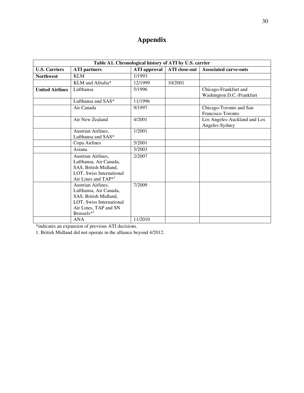# **Appendix**

| Table A1. Chronological history of ATI by U.S. carrier |                                                                                                                                                      |                     |                      |                                                    |  |
|--------------------------------------------------------|------------------------------------------------------------------------------------------------------------------------------------------------------|---------------------|----------------------|----------------------------------------------------|--|
| <b>U.S. Carriers</b>                                   | <b>ATI</b> partners                                                                                                                                  | <b>ATI</b> approval | <b>ATI</b> close-out | <b>Associated carve-outs</b>                       |  |
| <b>Northwest</b>                                       | <b>KLM</b>                                                                                                                                           | 1/1993              |                      |                                                    |  |
|                                                        | KLM and Alitalia*                                                                                                                                    | 12/1999             | 10/2001              |                                                    |  |
| <b>United Airlines</b>                                 | Lufthansa                                                                                                                                            | 5/1996              |                      | Chicago-Frankfurt and<br>Washington D.C.-Frankfurt |  |
|                                                        | Lufthansa and SAS*                                                                                                                                   | 11/1996             |                      |                                                    |  |
|                                                        | Air Canada                                                                                                                                           | 9/1997              |                      | Chicago-Toronto and San<br>Francisco-Toronto       |  |
|                                                        | Air New Zealand                                                                                                                                      | 4/2001              |                      | Los Angeles-Auckland and Los<br>Angeles-Sydney     |  |
|                                                        | Austrian Airlines,<br>Lufthansa and SAS*                                                                                                             | 1/2001              |                      |                                                    |  |
|                                                        | Copa Airlines                                                                                                                                        | 5/2001              |                      |                                                    |  |
|                                                        | Asiana                                                                                                                                               | 5/2003              |                      |                                                    |  |
|                                                        | Austrian Airlines,<br>Lufthansa, Air Canada,<br>SAS, British Midland,<br>LOT, Swiss International<br>Air Lines and $TAP*^1$                          | 2/2007              |                      |                                                    |  |
|                                                        | Austrian Airlines,<br>Lufthansa, Air Canada,<br>SAS, British Midland,<br>LOT, Swiss International<br>Air Lines, TAP and SN<br>Brussels <sup>*1</sup> | 7/2009              |                      |                                                    |  |
|                                                        | ANA                                                                                                                                                  | 11/2010             |                      |                                                    |  |

\*indicates an expansion of previous ATI decisions.

1. British Midland did not operate in the alliance beyond 4/2012.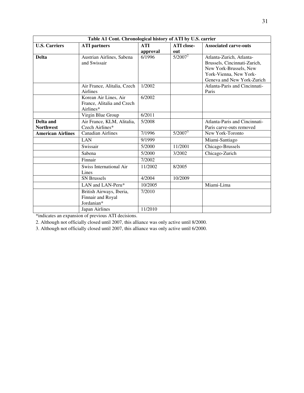| Table A1 Cont. Chronological history of ATI by U.S. carrier |                                                                  |            |                   |                                                                                                                                            |  |
|-------------------------------------------------------------|------------------------------------------------------------------|------------|-------------------|--------------------------------------------------------------------------------------------------------------------------------------------|--|
| <b>U.S. Carriers</b>                                        | <b>ATI</b> partners                                              | <b>ATI</b> | <b>ATI</b> close- | <b>Associated carve-outs</b>                                                                                                               |  |
|                                                             |                                                                  | approval   | out               |                                                                                                                                            |  |
| <b>Delta</b>                                                | Austrian Airlines, Sabena<br>and Swissair                        | 6/1996     | $5/2007^2$        | Atlanta-Zurich, Atlanta-<br>Brussels, Cincinnati-Zurich,<br>New York-Brussels, New<br>York-Vienna, New York-<br>Geneva and New York-Zurich |  |
|                                                             | Air France, Alitalia, Czech<br><b>Airlines</b>                   | 1/2002     |                   | Atlanta-Paris and Cincinnati-<br>Paris                                                                                                     |  |
|                                                             | Korean Air Lines, Air<br>France, Alitalia and Czech<br>Airlines* | 6/2002     |                   |                                                                                                                                            |  |
|                                                             | Virgin Blue Group                                                | 6/2011     |                   |                                                                                                                                            |  |
| Delta and<br><b>Northwest</b>                               | Air France, KLM, Alitalia,<br>Czech Airlines*                    | 5/2008     |                   | Atlanta-Paris and Cincinnati-<br>Paris carve-outs removed                                                                                  |  |
| <b>American Airlines</b>                                    | <b>Canadian Airlines</b>                                         | 7/1996     | $5/2007^3$        | New York-Toronto                                                                                                                           |  |
|                                                             | LAN                                                              | 9/1999     |                   | Miami-Santiago                                                                                                                             |  |
|                                                             | Swissair                                                         | 5/2000     | 11/2001           | Chicago-Brussels                                                                                                                           |  |
|                                                             | Sabena                                                           | 5/2000     | 3/2002            | Chicago-Zurich                                                                                                                             |  |
|                                                             | Finnair                                                          | 7/2002     |                   |                                                                                                                                            |  |
|                                                             | Swiss International Air<br>Lines                                 | 11/2002    | 8/2005            |                                                                                                                                            |  |
|                                                             | <b>SN</b> Brussels                                               | 4/2004     | 10/2009           |                                                                                                                                            |  |
|                                                             | LAN and LAN-Peru*                                                | 10/2005    |                   | Miami-Lima                                                                                                                                 |  |
|                                                             | British Airways, Iberia,<br>Finnair and Royal<br>Jordanian*      | 7/2010     |                   |                                                                                                                                            |  |
|                                                             | Japan Airlines                                                   | 11/2010    |                   |                                                                                                                                            |  |

\*indicates an expansion of previous ATI decisions.

2. Although not officially closed until 2007, this alliance was only active until 8/2000.

3. Although not officially closed until 2007, this alliance was only active until 6/2000.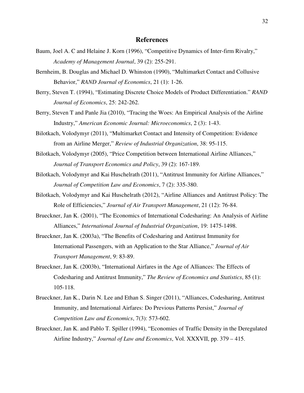### **References**

- Baum, Joel A. C and Helaine J. Korn (1996), "Competitive Dynamics of Inter-firm Rivalry," *Academy of Management Journal*, 39 (2): 255-291.
- Bernheim, B. Douglas and Michael D. Whinston (1990), "Multimarket Contact and Collusive Behavior," *RAND Journal of Economics*, 21 (1): 1-26.
- Berry, Steven T. (1994), "Estimating Discrete Choice Models of Product Differentiation." *RAND Journal of Economics*, 25: 242-262.
- Berry, Steven T and Panle Jia (2010), "Tracing the Woes: An Empirical Analysis of the Airline Industry," *American Economic Journal: Microeconomics*, 2 (3): 1-43.
- Bilotkach, Volodymyr (2011), "Multimarket Contact and Intensity of Competition: Evidence from an Airline Merger," *Review of Industrial Organization*, 38: 95-115.
- Bilotkach, Volodymyr (2005), "Price Competition between International Airline Alliances," *Journal of Transport Economics and Policy*, 39 (2): 167-189.
- Bilotkach, Volodymyr and Kai Huschelrath (2011), "Antitrust Immunity for Airline Alliances," *Journal of Competition Law and Economics*, 7 (2): 335-380.
- Bilotkach, Volodymyr and Kai Huschelrath (2012), "Airline Alliances and Antitrust Policy: The Role of Efficiencies," *Journal of Air Transport Management*, 21 (12): 76-84.
- Brueckner, Jan K. (2001), "The Economics of International Codesharing: An Analysis of Airline Alliances," *International Journal of Industrial Organization*, 19: 1475-1498.
- Brueckner, Jan K. (2003a), "The Benefits of Codesharing and Antitrust Immunity for International Passengers, with an Application to the Star Alliance," *Journal of Air Transport Management*, 9: 83-89.
- Brueckner, Jan K. (2003b), "International Airfares in the Age of Alliances: The Effects of Codesharing and Antitrust Immunity," *The Review of Economics and Statistics*, 85 (1): 105-118.
- Brueckner, Jan K., Darin N. Lee and Ethan S. Singer (2011), "Alliances, Codesharing, Antitrust Immunity, and International Airfares: Do Previous Patterns Persist," *Journal of Competition Law and Economics*, 7(3): 573-602.
- Brueckner, Jan K. and Pablo T. Spiller (1994), "Economies of Traffic Density in the Deregulated Airline Industry," *Journal of Law and Economics*, Vol. XXXVII, pp. 379 – 415.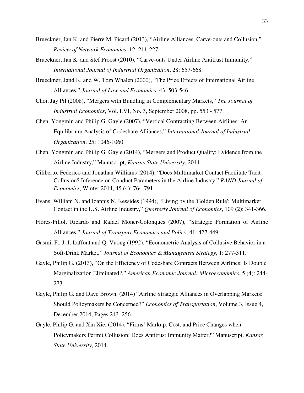- Brueckner, Jan K. and Pierre M. Picard (2013), "Airline Alliances, Carve-outs and Collusion," *Review of Network Economics*, 12: 211-227.
- Brueckner, Jan K. and Stef Proost (2010), "Carve-outs Under Airline Antitrust Immunity," *International Journal of Industrial Organization*, 28: 657-668.
- Brueckner, Jand K. and W. Tom Whalen (2000), "The Price Effects of International Airline Alliances," *Journal of Law and Economics*, 43: 503-546.
- Choi, Jay Pil (2008), "Mergers with Bundling in Complementary Markets," *The Journal of Industrial Economics*, Vol. LVI, No. 3, September 2008, pp. 553 - 577.
- Chen, Yongmin and Philip G. Gayle (2007), "Vertical Contracting Between Airlines: An Equilibrium Analysis of Codeshare Alliances," *International Journal of Industrial Organization*, 25: 1046-1060.
- Chen, Yongmin and Philip G. Gayle (2014), "Mergers and Product Quality: Evidence from the Airline Industry," Manuscript, *Kansas State University*, 2014.
- Ciliberto, Federico and Jonathan Williams (2014), "Does Multimarket Contact Facilitate Tacit Collusion? Inference on Conduct Parameters in the Airline Industry," *RAND Journal of Economics*, Winter 2014, 45 (4): 764-791.
- Evans, William N. and Ioannis N. Kessides (1994), "Living by the 'Golden Rule': Multimarket Contact in the U.S. Airline Industry," *Quarterly Journal of Economics*, 109 (2): 341-366.
- Flores-Fillol, Ricardo and Rafael Moner-Colonques (2007), "Strategic Formation of Airline Alliances," *Journal of Transport Economics and Policy*, 41: 427-449.
- Gasmi, F., J. J. Laffont and Q. Vuong (1992), "Econometric Analysis of Collusive Behavior in a Soft-Drink Market," *Journal of Economics & Management Strategy*, 1: 277-311.
- Gayle, Philip G. (2013), "On the Efficiency of Codeshare Contracts Between Airlines: Is Double Marginalization Eliminated?," *American Economic Journal: Microeconomics*, 5 (4): 244- 273.
- Gayle, Philip G. and Dave Brown, (2014) "Airline Strategic Alliances in Overlapping Markets: Should Policymakers be Concerned?" *Economics of Transportation*, Volume 3, Issue 4, December 2014, Pages 243–256.
- Gayle, Philip G. and Xin Xie, (2014), "Firms' Markup, Cost, and Price Changes when Policymakers Permit Collusion: Does Antitrust Immunity Matter?" Manuscript, *Kansas State University*, 2014.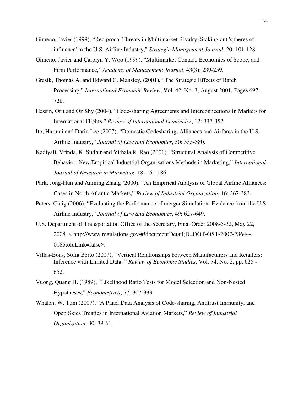- Gimeno, Javier (1999), "Reciprocal Threats in Multimarket Rivalry: Staking out 'spheres of influence' in the U.S. Airline Industry," *Strategic Management Journal*, 20: 101-128.
- Gimeno, Javier and Carolyn Y. Woo (1999), "Multimarket Contact, Economies of Scope, and Firm Performance," *Academy of Management Journal*, 43(3): 239-259.
- Gresik, Thomas A. and Edward C. Mansley, (2001), "The Strategic Effects of Batch Processing," *International Economic Review*, Vol. 42, No. 3, August 2001, Pages 697- 728.
- Hassin, Orit and Oz Shy (2004), "Code-sharing Agreements and Interconnections in Markets for International Flights," *Review of International Economics*, 12: 337-352.
- Ito, Harumi and Darin Lee (2007), "Domestic Codesharing, Alliances and Airfares in the U.S. Airline Industry," *Journal of Law and Economics*, 50: 355-380.
- Kadiyali, Vrinda, K. Sudhir and Vithala R. Rao (2001), "Structural Analysis of Competitive Behavior: New Empirical Industrial Organizations Methods in Marketing," *International Journal of Research in Marketing*, 18: 161-186.
- Park, Jong-Hun and Anming Zhang (2000), "An Empirical Analysis of Global Airline Alliances: Cases in North Atlantic Markets," *Review of Industrial Organization*, 16: 367-383.
- Peters, Craig (2006), "Evaluating the Performance of merger Simulation: Evidence from the U.S. Airline Industry," *Journal of Law and Economics*, 49: 627-649.
- U.S. Department of Transportation Office of the Secretary, Final Order 2008-5-32, May 22, 2008. < http://www.regulations.gov/#!documentDetail;D=DOT-OST-2007-28644- 0185;oldLink=false>.
- Villas-Boas, Sofia Berto (2007), "Vertical Relationships between Manufacturers and Retailers: Inference with Limited Data, " *Review of Economic Studies*, Vol. 74, No. 2, pp. 625 - 652.
- Vuong, Quang H. (1989), "Likelihood Ratio Tests for Model Selection and Non-Nested Hypotheses," *Econometrica*, 57: 307-333.
- Whalen, W. Tom (2007), "A Panel Data Analysis of Code-sharing, Antitrust Immunity, and Open Skies Treaties in International Aviation Markets," *Review of Industrial Organization*, 30: 39-61.